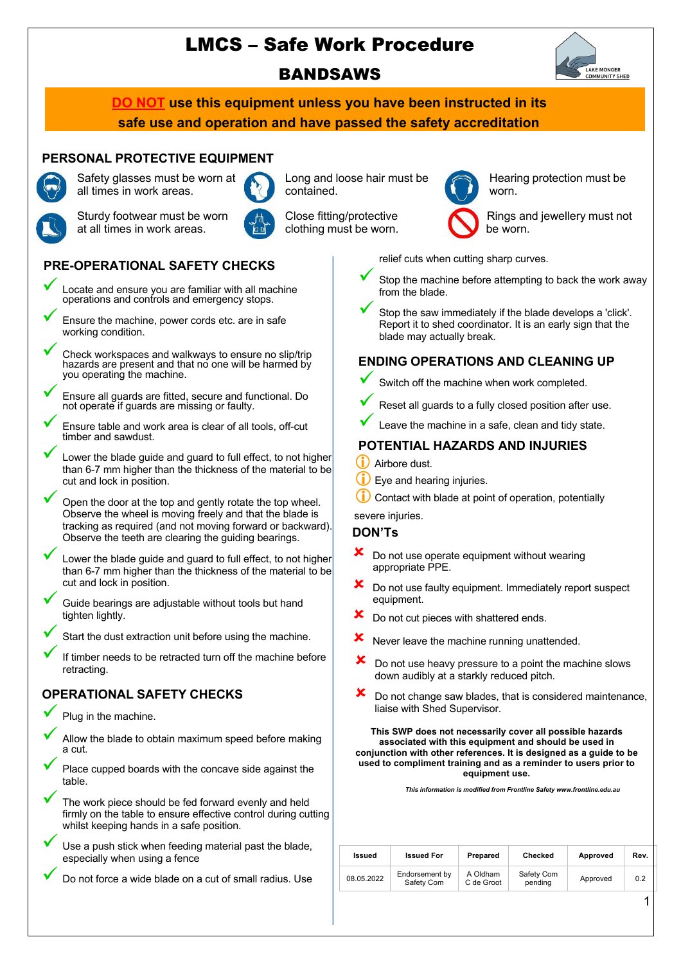# LMCS – Safe Work Procedure **BANDSAWS**



**DO NOT use this equipment unless you have been instructed in its safe use and operation and have passed the safety accreditation**

## **PERSONAL PROTECTIVE EQUIPMENT** Safety glasses must be worn at



all times in work areas.



Long and loose hair must be contained.

Close fitting/protective



Hearing protection must be worn.

Sturdy footwear must be worn at all times in work areas.



clothing must be worn.

Rings and jewellery must not be worn.

relief cuts when cutting sharp curves.

- Stop the machine before attempting to back the work away from the blade.
- Stop the saw immediately if the blade develops a 'click'. Report it to shed coordinator. It is an early sign that the blade may actually break.

## **ENDING OPERATIONS AND CLEANING UP**

- Switch off the machine when work completed.
- Reset all guards to a fully closed position after use.
- Leave the machine in a safe, clean and tidy state.

## **POTENTIAL HAZARDS AND INJURIES**

- Airbore dust.
- $(i)$  Eye and hearing injuries.
- $(i)$  Contact with blade at point of operation, potentially

#### severe injuries.

#### **DON'Ts**

- Do not use operate equipment without wearing appropriate PPE.
- $\mathbf{\times}$  Do not use faulty equipment. Immediately report suspect equipment.
- Do not cut pieces with shattered ends.
- $x$  Never leave the machine running unattended.
- Do not use heavy pressure to a point the machine slows down audibly at a starkly reduced pitch.
- $\boldsymbol{\times}$  Do not change saw blades, that is considered maintenance, liaise with Shed Supervisor.

**This SWP does not necessarily cover all possible hazards associated with this equipment and should be used in conjunction with other references. It is designed as a guide to be used to compliment training and as a reminder to users prior to equipment use.**

*This information is modified from Frontline Safety www.frontline.edu.au*

| Issued     | <b>Issued For</b>            | Prepared               | Checked               | Approved | Rev. |
|------------|------------------------------|------------------------|-----------------------|----------|------|
| 08.05.2022 | Endorsement by<br>Safety Com | A Oldham<br>C de Groot | Safety Com<br>pending | Approved | 0.2  |

# **PRE-OPERATIONAL SAFETY CHECKS**

- ü Locate and ensure you are familiar with all machine operations and controls and emergency stops.
	- Ensure the machine, power cords etc. are in safe working condition.
	- Check workspaces and walkways to ensure no slip/trip hazards are present and that no one will be harmed by you operating the machine.
	- ü Ensure all guards are fitted, secure and functional. Do not operate if guards are missing or faulty.
- Ensure table and work area is clear of all tools, off-cut timber and sawdust.
- Lower the blade guide and guard to full effect, to not higher than 6-7 mm higher than the thickness of the material to be cut and lock in position.
- Open the door at the top and gently rotate the top wheel. Observe the wheel is moving freely and that the blade is tracking as required (and not moving forward or backward). Observe the teeth are clearing the guiding bearings.
- Lower the blade quide and quard to full effect, to not higher than 6-7 mm higher than the thickness of the material to be cut and lock in position.
- Guide bearings are adjustable without tools but hand tighten lightly.
- Start the dust extraction unit before using the machine.
- If timber needs to be retracted turn off the machine before retracting.

# **OPERATIONAL SAFETY CHECKS**

- Plug in the machine.
- Allow the blade to obtain maximum speed before making a cut.
- Place cupped boards with the concave side against the table.
- The work piece should be fed forward evenly and held firmly on the table to ensure effective control during cutting whilst keeping hands in a safe position.
- Use a push stick when feeding material past the blade, especially when using a fence
	- Do not force a wide blade on a cut of small radius. Use

1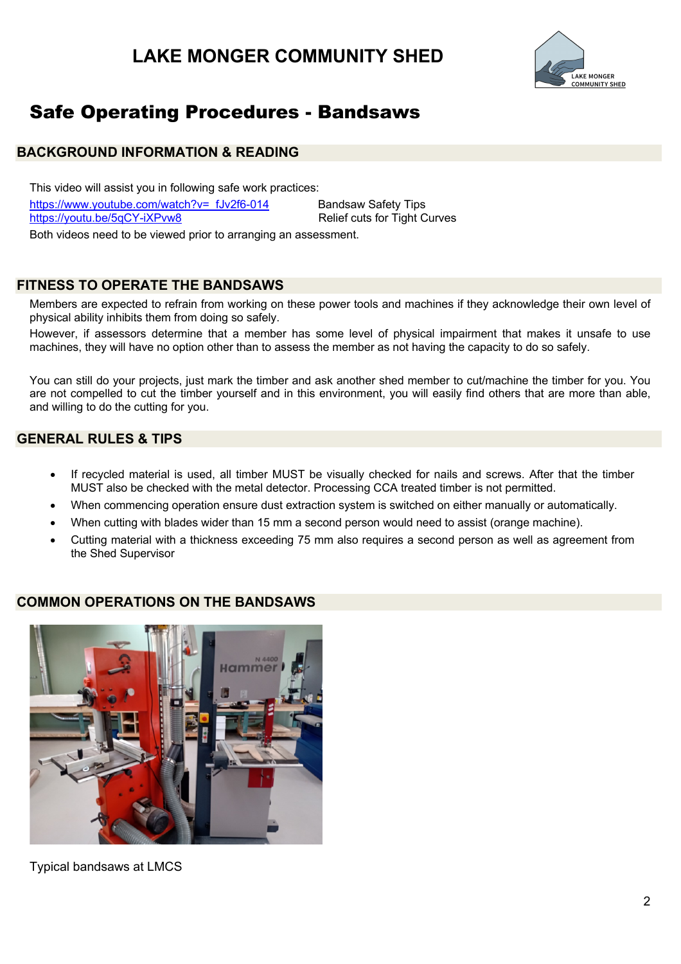# **LAKE MONGER COMMUNITY SHED**



# Safe Operating Procedures - Bandsaws

## **BACKGROUND INFORMATION & READING**

This video will assist you in following safe work practices: https://www.youtube.com/watch?v=\_fJv2f6-014 Bandsaw Safety Tips https://youtu.be/5qCY-iXPvw8 Relief cuts for Tight Curves

Both videos need to be viewed prior to arranging an assessment.

## **FITNESS TO OPERATE THE BANDSAWS**

Members are expected to refrain from working on these power tools and machines if they acknowledge their own level of physical ability inhibits them from doing so safely.

However, if assessors determine that a member has some level of physical impairment that makes it unsafe to use machines, they will have no option other than to assess the member as not having the capacity to do so safely.

You can still do your projects, just mark the timber and ask another shed member to cut/machine the timber for you. You are not compelled to cut the timber yourself and in this environment, you will easily find others that are more than able, and willing to do the cutting for you.

## **GENERAL RULES & TIPS**

- If recycled material is used, all timber MUST be visually checked for nails and screws. After that the timber MUST also be checked with the metal detector. Processing CCA treated timber is not permitted.
- When commencing operation ensure dust extraction system is switched on either manually or automatically.
- When cutting with blades wider than 15 mm a second person would need to assist (orange machine).
- Cutting material with a thickness exceeding 75 mm also requires a second person as well as agreement from the Shed Supervisor

#### **COMMON OPERATIONS ON THE BANDSAWS**



Typical bandsaws at LMCS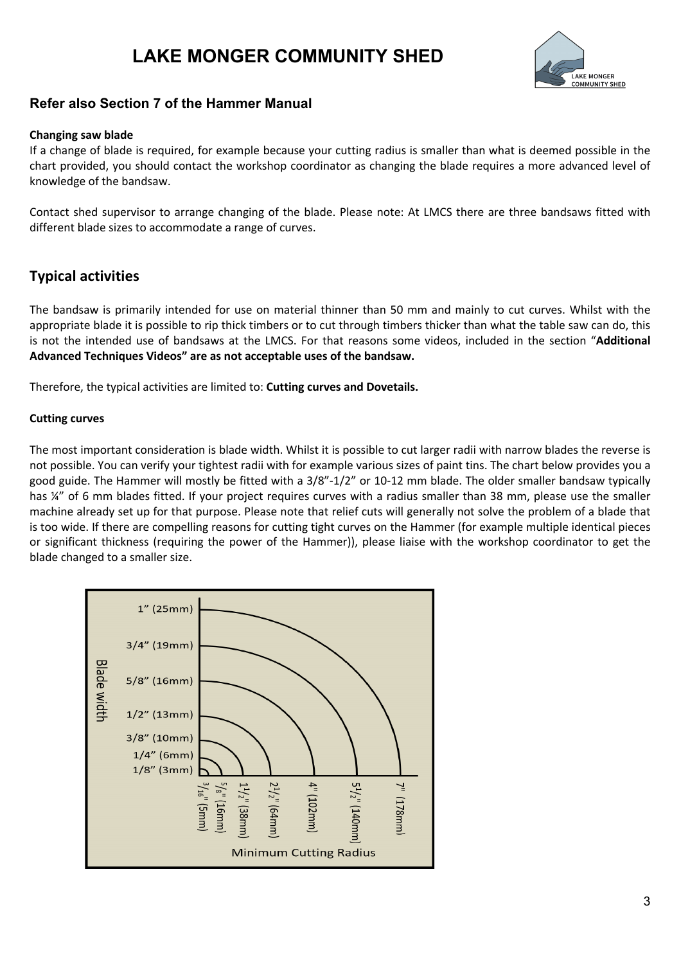# **LAKE MONGER COMMUNITY SHED**



## **Refer also Section 7 of the Hammer Manual**

#### **Changing saw blade**

If a change of blade is required, for example because your cutting radius is smaller than what is deemed possible in the chart provided, you should contact the workshop coordinator as changing the blade requires a more advanced level of knowledge of the bandsaw.

Contact shed supervisor to arrange changing of the blade. Please note: At LMCS there are three bandsaws fitted with different blade sizes to accommodate a range of curves.

## **Typical activities**

The bandsaw is primarily intended for use on material thinner than 50 mm and mainly to cut curves. Whilst with the appropriate blade it is possible to rip thick timbers or to cut through timbers thicker than what the table saw can do, this is not the intended use of bandsaws at the LMCS. For that reasons some videos, included in the section "**Additional Advanced Techniques Videos" are as not acceptable uses of the bandsaw.**

Therefore, the typical activities are limited to: **Cutting curves and Dovetails.**

#### **Cutting curves**

The most important consideration is blade width. Whilst it is possible to cut larger radii with narrow blades the reverse is not possible. You can verify your tightest radii with for example various sizes of paint tins. The chart below provides you a good guide. The Hammer will mostly be fitted with a 3/8"-1/2" or 10-12 mm blade. The older smaller bandsaw typically has ¼" of 6 mm blades fitted. If your project requires curves with a radius smaller than 38 mm, please use the smaller machine already set up for that purpose. Please note that relief cuts will generally not solve the problem of a blade that is too wide. If there are compelling reasons for cutting tight curves on the Hammer (for example multiple identical pieces or significant thickness (requiring the power of the Hammer)), please liaise with the workshop coordinator to get the blade changed to a smaller size.